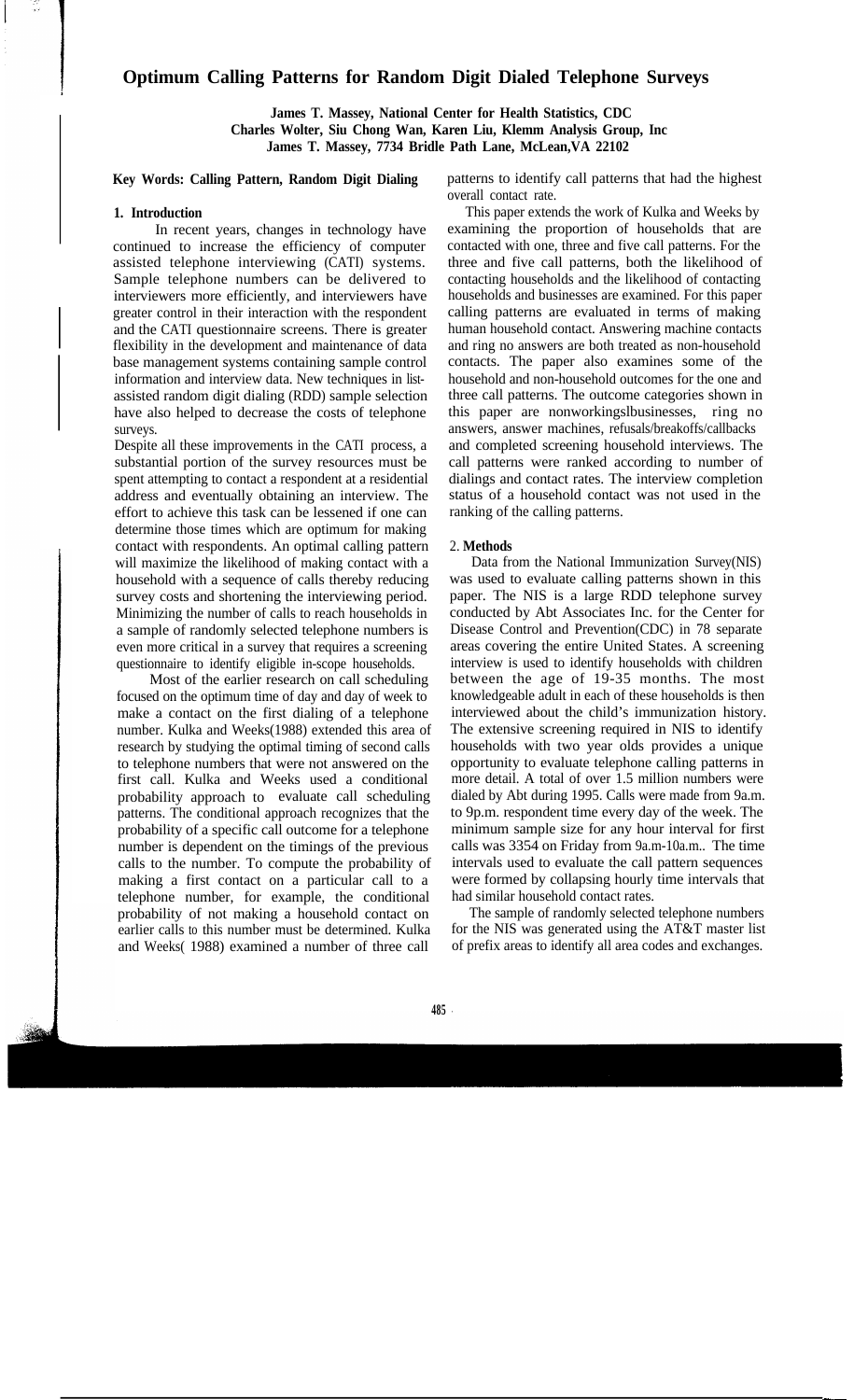# **Optimum Calling Patterns for Random Digit Dialed Telephone Surveys**

**James T. Massey, National Center for Health Statistics, CDC Charles Wolter, Siu Chong Wan, Karen Liu, Klemm Analysis Group, Inc James T. Massey, 7734 Bridle Path Lane, McLean,VA 22102** 

### **Key Words: Calling Pattern, Random Digit Dialing**

### **1. Introduction**

In recent years, changes in technology have continued to increase the efficiency of computer assisted telephone interviewing (CATI) systems. Sample telephone numbers can be delivered to interviewers more efficiently, and interviewers have greater control in their interaction with the respondent and the CATI questionnaire screens. There is greater flexibility in the development and maintenance of data base management systems containing sample control information and interview data. New techniques in listassisted random digit dialing (RDD) sample selection have also helped to decrease the costs of telephone surveys.

Despite all these improvements in the CATI process, a substantial portion of the survey resources must be spent attempting to contact a respondent at a residential address and eventually obtaining an interview. The effort to achieve this task can be lessened if one can determine those times which are optimum for making contact with respondents. An optimal calling pattern will maximize the likelihood of making contact with a household with a sequence of calls thereby reducing survey costs and shortening the interviewing period. Minimizing the number of calls to reach households in a sample of randomly selected telephone numbers is even more critical in a survey that requires a screening questionnaire to identify eligible in-scope households.

Most of the earlier research on call scheduling focused on the optimum time of day and day of week to make a contact on the first dialing of a telephone number. Kulka and Weeks(1988) extended this area of research by studying the optimal timing of second calls to telephone numbers that were not answered on the first call. Kulka and Weeks used a conditional probability approach to evaluate call scheduling patterns. The conditional approach recognizes that the probability of a specific call outcome for a telephone number is dependent on the timings of the previous calls to the number. To compute the probability of making a first contact on a particular call to a telephone number, for example, the conditional had similar household contact rates.<br>
probability of not making a household contact on The sample of randomly selected telephone numbers probability of not making a household contact on earlier calls to this number must be determined. Kulka and Weeks( 1988) examined a number of three call of prefix areas to identify all area codes and exchanges.

patterns to identify call patterns that had the highest overall contact rate.

This paper extends the work of Kulka and Weeks by examining the proportion of households that are contacted with one, three and five call patterns. For the three and five call patterns, both the likelihood of contacting households and the likelihood of contacting households and businesses are examined. For this paper calling patterns are evaluated in terms of making human household contact. Answering machine contacts and ring no answers are both treated as non-household contacts. The paper also examines some of the household and non-household outcomes for the one and three call patterns. The outcome categories shown in this paper are nonworkingslbusinesses, ring no answers, answer machines, refusals/breakoffs/callbacks and completed screening household interviews. The call patterns were ranked according to number of dialings and contact rates. The interview completion status of a household contact was not used in the ranking of the calling patterns.

### 2. **Methods**

Data from the National Immunization Survey(NIS) was used to evaluate calling patterns shown in this paper. The NIS is a large RDD telephone survey conducted by Abt Associates Inc. for the Center for Disease Control and Prevention(CDC) in 78 separate areas covering the entire United States. A screening interview is used to identify households with children between the age of 19-35 months. The most knowledgeable adult in each of these households is then interviewed about the child's immunization history. The extensive screening required in NIS to identify households with two year olds provides a unique opportunity to evaluate telephone calling patterns in more detail. A total of over 1.5 million numbers were dialed by Abt during 1995. Calls were made from 9a.m. to 9p.m. respondent time every day of the week. The minimum sample size for any hour interval for first calls was 3354 on Friday from 9a.m-10a.m.. The time intervals used to evaluate the call pattern sequences were formed by collapsing hourly time intervals that had similar household contact rates.

for the NIS was generated using the  $\angle AT&T$  master list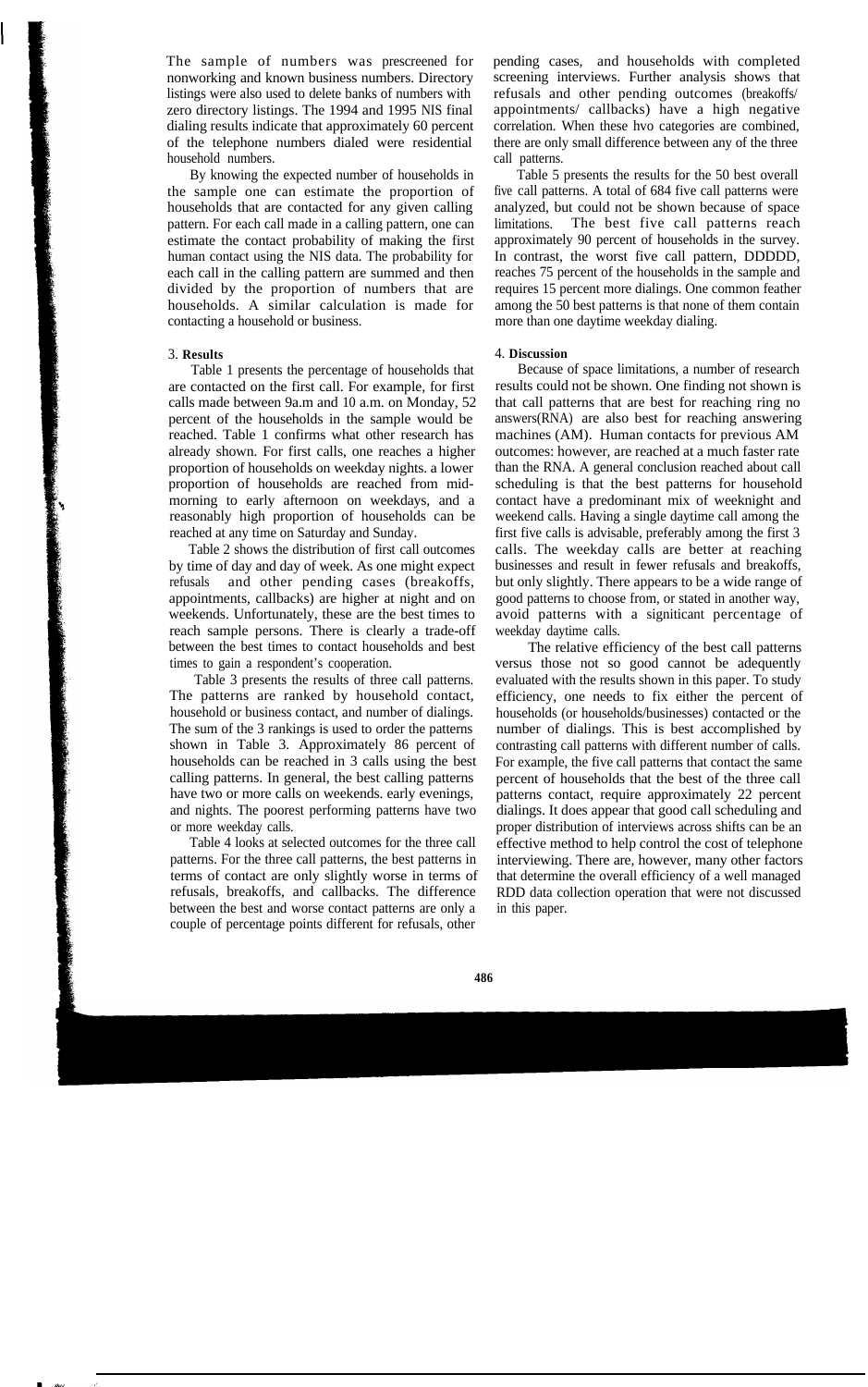The sample of numbers was prescreened for nonworking and known business numbers. Directory listings were also used to delete banks of numbers with zero directory listings. The 1994 and 1995 NIS final dialing results indicate that approximately 60 percent of the telephone numbers dialed were residential household numbers.

By knowing the expected number of households in the sample one can estimate the proportion of households that are contacted for any given calling pattern. For each call made in a calling pattern, one can estimate the contact probability of making the first human contact using the NIS data. The probability for each call in the calling pattern are summed and then divided by the proportion of numbers that are households. A similar calculation is made for contacting a household or business.

### 3. **Results**

Table 1 presents the percentage of households that are contacted on the first call. For example, for first calls made between 9a.m and 10 a.m. on Monday, 52 percent of the households in the sample would be reached. Table 1 confirms what other research has already shown. For first calls, one reaches a higher proportion of households on weekday nights. a lower proportion of households are reached from midmorning to early afternoon on weekdays, and a reasonably high proportion of households can be reached at any time on Saturday and Sunday.

Table 2 shows the distribution of first call outcomes by time of day and day of week. As one might expect refusals and other pending cases (breakoffs, appointments, callbacks) are higher at night and on weekends. Unfortunately, these are the best times to reach sample persons. There is clearly a trade-off between the best times to contact households and best times to gain a respondent's cooperation.

Table 3 presents the results of three call patterns. The patterns are ranked by household contact, household or business contact, and number of dialings. The sum of the 3 rankings is used to order the patterns shown in Table 3. Approximately 86 percent of households can be reached in 3 calls using the best calling patterns. In general, the best calling patterns have two or more calls on weekends. early evenings, and nights. The poorest performing patterns have two or more weekday calls.

Table 4 looks at selected outcomes for the three call patterns. For the three call patterns, the best patterns in terms of contact are only slightly worse in terms of refusals, breakoffs, and callbacks. The difference between the best and worse contact patterns are only a couple of percentage points different for refusals, other

pending cases, and households with completed screening interviews. Further analysis shows that refusals and other pending outcomes (breakoffs/ appointments/ callbacks) have a high negative correlation. When these hvo categories are combined, there are only small difference between any of the three call patterns.

Table 5 presents the results for the 50 best overall five call patterns. A total of 684 five call patterns were analyzed, but could not be shown because of space limitations. The best five call patterns reach approximately 90 percent of households in the survey. In contrast, the worst five call pattern, DDDDD, reaches 75 percent of the households in the sample and requires 15 percent more dialings. One common feather among the 50 best patterns is that none of them contain more than one daytime weekday dialing.

### 4. **Discussion**

Because of space limitations, a number of research results could not be shown. One finding not shown is that call patterns that are best for reaching ring no answers(RNA) are also best for reaching answering machines (AM). Human contacts for previous AM outcomes: however, are reached at a much faster rate than the RNA. A general conclusion reached about call scheduling is that the best patterns for household contact have a predominant mix of weeknight and weekend calls. Having a single daytime call among the first five calls is advisable, preferably among the first 3 calls. The weekday calls are better at reaching businesses and result in fewer refusals and breakoffs, but only slightly. There appears to be a wide range of good patterns to choose from, or stated in another way, avoid patterns with a signiticant percentage of weekday daytime calls.

The relative efficiency of the best call patterns versus those not so good cannot be adequently evaluated with the results shown in this paper. To study efficiency, one needs to fix either the percent of households (or households/businesses) contacted or the number of dialings. This is best accomplished by contrasting call patterns with different number of calls. For example, the five call patterns that contact the same percent of households that the best of the three call patterns contact, require approximately 22 percent dialings. It does appear that good call scheduling and proper distribution of interviews across shifts can be an effective method to help control the cost of telephone interviewing. There are, however, many other factors that determine the overall efficiency of a well managed RDD data collection operation that were not discussed in this paper.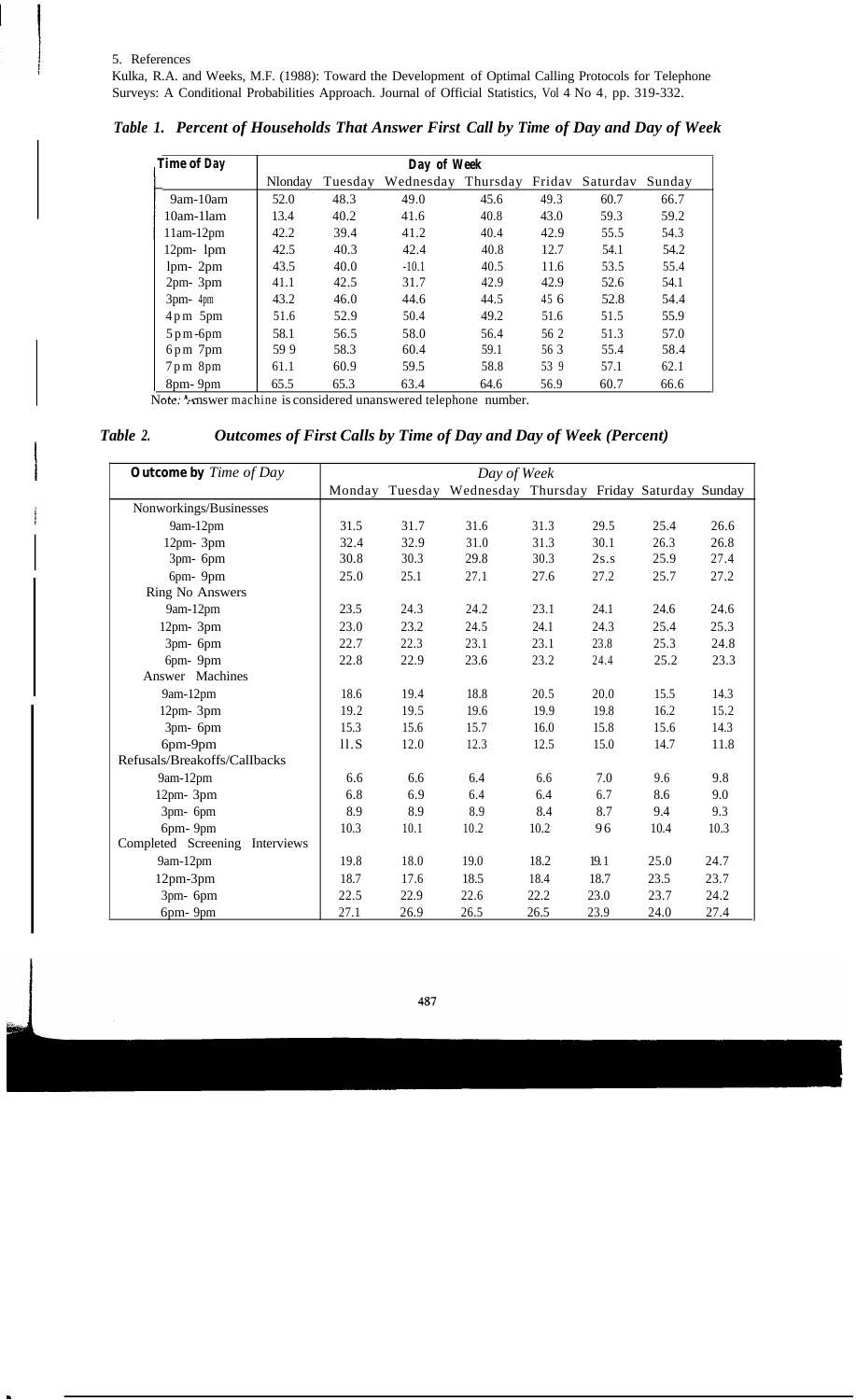#### 5. References

Kulka, R.A. and Weeks, M.F. (1988): Toward the Development of Optimal Calling Protocols for Telephone Surveys: A Conditional Probabilities Approach. Journal of Official Statistics, Vol 4 No 4, pp. 319-332.

| <b>Time of Day</b>                                      | Day of Week |         |           |          |      |                 |        |
|---------------------------------------------------------|-------------|---------|-----------|----------|------|-----------------|--------|
|                                                         | Nlonday     | Tuesday | Wednesday | Thursday |      | Fridav Saturdav | Sunday |
| $9am-10am$                                              | 52.0        | 48.3    | 49.0      | 45.6     | 49.3 | 60.7            | 66.7   |
| $10am-1lam$                                             | 13.4        | 40.2    | 41.6      | 40.8     | 43.0 | 59.3            | 59.2   |
| $11am-12pm$                                             | 42.2        | 39.4    | 41.2      | 40.4     | 42.9 | 55.5            | 54.3   |
| $12pm$ lpm                                              | 42.5        | 40.3    | 42.4      | 40.8     | 12.7 | 54.1            | 54.2   |
| $1pm-2pm$                                               | 43.5        | 40.0    | $-10.1$   | 40.5     | 11.6 | 53.5            | 55.4   |
| $2pm-3pm$                                               | 41.1        | 42.5    | 31.7      | 42.9     | 42.9 | 52.6            | 54.1   |
| $3pm-4pm$                                               | 43.2        | 46.0    | 44.6      | 44.5     | 45 6 | 52.8            | 54.4   |
| $4 \text{ pm}$ 5pm                                      | 51.6        | 52.9    | 50.4      | 49.2     | 51.6 | 51.5            | 55.9   |
| $5\,\mathrm{p}\,\mathrm{m}$ -6 $\mathrm{p}\,\mathrm{m}$ | 58.1        | 56.5    | 58.0      | 56.4     | 56 2 | 51.3            | 57.0   |
| $6 \text{pm} 7 \text{pm}$                               | 599         | 58.3    | 60.4      | 59.1     | 56 3 | 55.4            | 58.4   |
| $7 \text{ pm}$ 8pm                                      | 61.1        | 60.9    | 59.5      | 58.8     | 53 9 | 57.1            | 62.1   |
| 8pm-9pm                                                 | 65.5        | 65.3    | 63.4      | 64.6     | 56.9 | 60.7            | 66.6   |

*Table 1. Percent of Households That Answer First Call by Time of Day and Day of Week* 

Note. Answer machine is considered unanswered telephone number.

## *Table 2. Outcomes of First Calls by Time of Day and Day of Week (Percent)*

| <b>Outcome by</b> Time of Day     | Day of Week |         |                                           |      |      |      |      |
|-----------------------------------|-------------|---------|-------------------------------------------|------|------|------|------|
|                                   | Monday      | Tuesday | Wednesday Thursday Friday Saturday Sunday |      |      |      |      |
| Nonworkings/Businesses            |             |         |                                           |      |      |      |      |
| 9am-12pm                          | 31.5        | 31.7    | 31.6                                      | 31.3 | 29.5 | 25.4 | 26.6 |
| 12pm-3pm                          | 32.4        | 32.9    | 31.0                                      | 31.3 | 30.1 | 26.3 | 26.8 |
| 3pm- 6pm                          | 30.8        | 30.3    | 29.8                                      | 30.3 | 2s.s | 25.9 | 27.4 |
| 6pm-9pm                           | 25.0        | 25.1    | 27.1                                      | 27.6 | 27.2 | 25.7 | 27.2 |
| Ring No Answers                   |             |         |                                           |      |      |      |      |
| 9am-12pm                          | 23.5        | 24.3    | 24.2                                      | 23.1 | 24.1 | 24.6 | 24.6 |
| $12pm-3pm$                        | 23.0        | 23.2    | 24.5                                      | 24.1 | 24.3 | 25.4 | 25.3 |
| 3pm- 6pm                          | 22.7        | 22.3    | 23.1                                      | 23.1 | 23.8 | 25.3 | 24.8 |
| 6pm-9pm                           | 22.8        | 22.9    | 23.6                                      | 23.2 | 24.4 | 25.2 | 23.3 |
| Answer Machines                   |             |         |                                           |      |      |      |      |
| 9am-12pm                          | 18.6        | 19.4    | 18.8                                      | 20.5 | 20.0 | 15.5 | 14.3 |
| $12pm-3pm$                        | 19.2        | 19.5    | 19.6                                      | 19.9 | 19.8 | 16.2 | 15.2 |
| 3pm- 6pm                          | 15.3        | 15.6    | 15.7                                      | 16.0 | 15.8 | 15.6 | 14.3 |
| 6pm-9pm                           | 11.S        | 12.0    | 12.3                                      | 12.5 | 15.0 | 14.7 | 11.8 |
| Refusals/Breakoffs/CalIbacks      |             |         |                                           |      |      |      |      |
| 9am-12pm                          | 6.6         | 6.6     | 6.4                                       | 6.6  | 7.0  | 9.6  | 9.8  |
| 12pm- 3pm                         | 6.8         | 6.9     | 6.4                                       | 6.4  | 6.7  | 8.6  | 9.0  |
| 3pm- 6pm                          | 8.9         | 8.9     | 8.9                                       | 8.4  | 8.7  | 9.4  | 9.3  |
| 6pm-9pm                           | 10.3        | 10.1    | 10.2                                      | 10.2 | 96   | 10.4 | 10.3 |
| Completed Screening<br>Interviews |             |         |                                           |      |      |      |      |
| $9am-12pm$                        | 19.8        | 18.0    | 19.0                                      | 18.2 | 19.1 | 25.0 | 24.7 |
| 12pm-3pm                          | 18.7        | 17.6    | 18.5                                      | 18.4 | 18.7 | 23.5 | 23.7 |
| 3pm- 6pm                          | 22.5        | 22.9    | 22.6                                      | 22.2 | 23.0 | 23.7 | 24.2 |
| 6pm-9pm                           | 27.1        | 26.9    | 26.5                                      | 26.5 | 23.9 | 24.0 | 27.4 |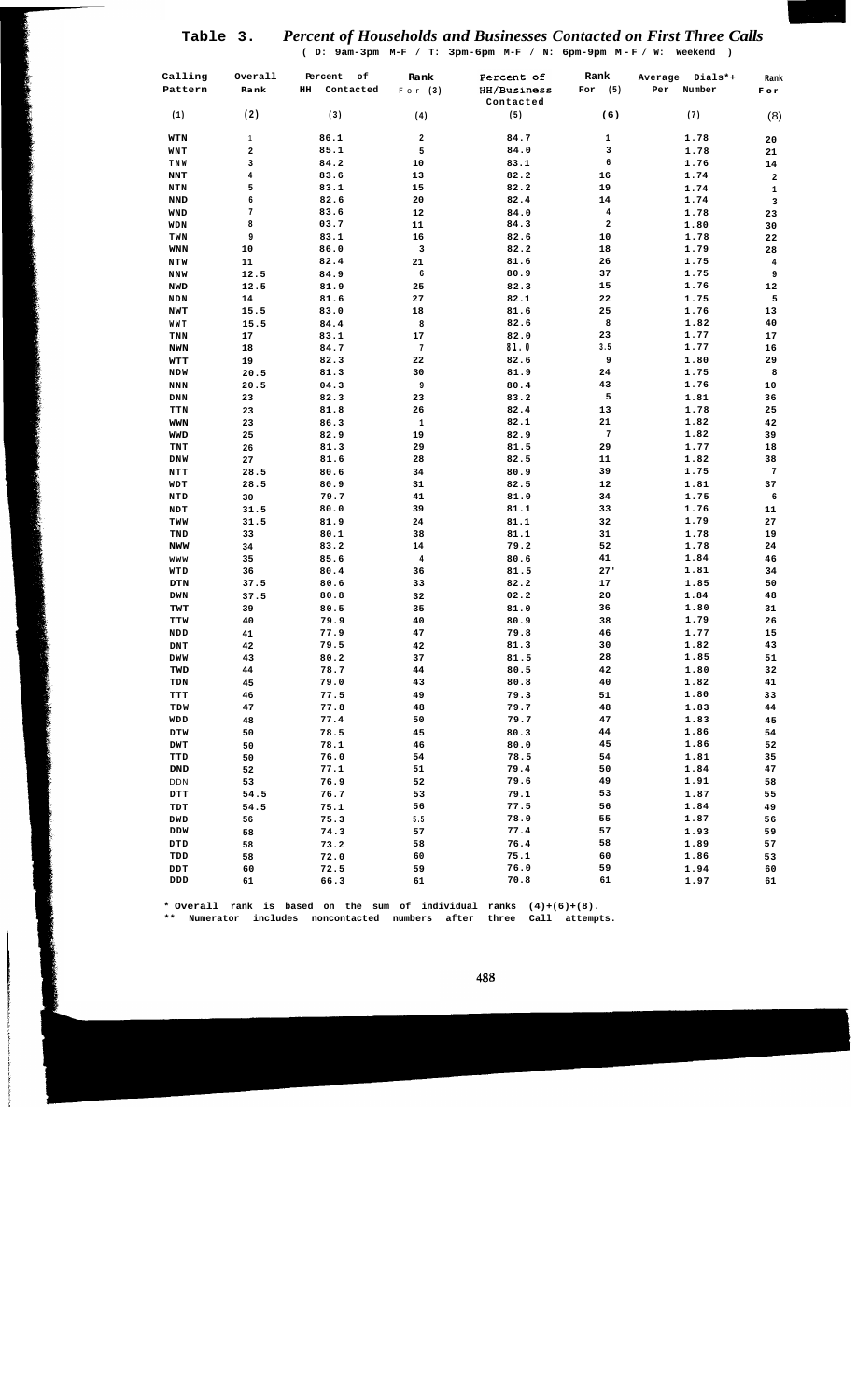# **Table 3.** *Percent of Households and Businesses Contacted on First Three Calls*

**( D: 9am-3pm M-F / T: 3pm-6pm M-F / N: 6pm-9pm M -F / W: Weekend )** 

| Calling<br>Pattern       | Overall<br>Rank         | Percent<br>оf<br>HH<br>Contacted | Rank<br>For $(3)$       | Percent of<br>HH/Business | Rank<br>For<br>(5)      | Dials*+<br>Average<br>Number<br>Per | Rank<br>F o r           |
|--------------------------|-------------------------|----------------------------------|-------------------------|---------------------------|-------------------------|-------------------------------------|-------------------------|
|                          |                         |                                  |                         | Contacted                 |                         |                                     |                         |
| (1)                      | (2)                     | (3)                              | (4)                     | (5)                       | (6)                     | (7)                                 | (8)                     |
| WTN                      | $\mathbf{1}$            | 86.1                             | $\overline{\mathbf{2}}$ | 84.7                      | 1                       | 1.78                                | 20                      |
| WNT                      | 2                       | 85.1                             | 5                       | 84.0                      | 3                       | 1.78                                | 21                      |
| TNW                      | 3                       | 84.2                             | 10                      | 83.1                      | 6                       | 1.76                                | 14                      |
| <b>NNT</b>               | $\overline{\mathbf{4}}$ | 83.6                             | 13                      | 82.2                      | 16                      | 1.74                                | $\overline{\mathbf{2}}$ |
| NTN                      | 5                       | 83.1                             | 15                      | 82.2                      | 19                      | 1.74                                | $\mathbf 1$             |
| <b>NND</b>               | 6                       | 82.6                             | 20                      | 82.4                      | 14                      | 1.74                                | 3                       |
| WND                      | $\overline{7}$          | 83.6                             | 12                      | 84.0                      | $\pmb{4}$               | 1.78                                | 23                      |
| WDN                      | 8<br>9                  | 03.7                             | 11                      | 84.3                      | $\overline{\mathbf{2}}$ | 1.80                                | 30                      |
| TWN                      | 10                      | 83.1<br>86.0                     | 16<br>3                 | 82.6<br>82.2              | 10<br>18                | 1.78<br>1.79                        | 22                      |
| <b>WNN</b><br><b>NTW</b> | 11                      | 82.4                             | 21                      | 81.6                      | 26                      | 1.75                                | 28<br>4                 |
| <b>NNW</b>               | 12.5                    | 84.9                             | 6                       | 80.9                      | 37                      | 1.75                                | 9                       |
| <b>NWD</b>               | 12.5                    | 81.9                             | 25                      | 82.3                      | 15                      | 1.76                                | ${\bf 12}$              |
| <b>NDN</b>               | 14                      | 81.6                             | 27                      | 82.1                      | 22                      | 1.75                                | 5                       |
| NWT                      | 15.5                    | 83.0                             | 18                      | 81.6                      | 25                      | 1.76                                | 13                      |
| WWT                      | 15.5                    | 84.4                             | 8                       | 82.6                      | 8                       | 1.82                                | 40                      |
| TNN                      | 17                      | 83.1                             | 17                      | 82.0                      | 23                      | 1.77                                | 17                      |
| <b>NWN</b>               | 18                      | 84.7                             | 7                       | 81.0                      | 3.5                     | 1.77                                | 16                      |
| WTT                      | 19                      | 82.3                             | 22                      | 82.6                      | 9                       | 1.80                                | 29                      |
| <b>NDW</b>               | 20.5                    | 81.3                             | 30                      | 81.9                      | 24                      | 1.75                                | 8                       |
| <b>NNN</b>               | 20.5                    | 04.3                             | 9                       | 80.4                      | 43                      | 1.76                                | 10                      |
| <b>DNN</b>               | 23                      | 82.3                             | 23                      | 83.2                      | 5                       | 1.81                                | 36                      |
| TTN                      | 23                      | 81.8                             | 26                      | 82.4                      | 13                      | 1.78                                | 25                      |
| <b>WWN</b>               | 23                      | 86.3                             | $\mathbf 1$             | 82.1                      | 21                      | 1.82                                | 42                      |
| <b>WWD</b>               | 25                      | 82.9                             | 19                      | 82.9                      | $\sqrt{7}$              | 1.82                                | 39                      |
| TNT                      | 26                      | 81.3                             | 29                      | 81.5                      | 29                      | 1.77                                | 18                      |
| <b>DNW</b>               | 27                      | 81.6                             | 28                      | 82.5                      | 11                      | 1.82                                | 38                      |
| NTT                      | 28.5                    | 80.6                             | 34                      | 80.9                      | 39                      | 1.75                                | 7                       |
| WDT                      | 28.5                    | 80.9                             | 31                      | 82.5                      | 12                      | 1.81                                | 37                      |
| NTD                      | 30                      | 79.7                             | 41                      | 81.0                      | 34                      | 1.75                                | 6                       |
| NDT                      | 31.5                    | 80.0                             | 39                      | 81.1                      | 33                      | 1.76                                | 11                      |
| TWW                      | 31.5                    | 81.9                             | 24<br>38                | 81.1<br>81.1              | 32<br>31                | 1.79<br>1.78                        | 27                      |
| TND<br><b>NWW</b>        | 33<br>34                | 80.1<br>83.2                     | 14                      | 79.2                      | 52                      | 1.78                                | 19<br>24                |
| www                      | 35                      | 85.6                             | $\pmb{4}$               | 80.6                      | 41                      | 1.84                                | 46                      |
| WTD                      | 36                      | 80.4                             | 36                      | 81.5                      | 27'                     | 1.81                                | 34                      |
| DTN                      | 37.5                    | 80.6                             | 33                      | 82.2                      | 17                      | 1.85                                | 50                      |
| <b>DWN</b>               | 37.5                    | 80.8                             | 32                      | 02.2                      | 20                      | 1.84                                | 48                      |
| TWT                      | 39                      | 80.5                             | 35                      | 81.0                      | 36                      | 1.80                                | 31                      |
| TTW                      | 40                      | 79.9                             | 40                      | 80.9                      | 38                      | 1.79                                | 26                      |
| NDD                      | 41                      | 77.9                             | 47                      | 79.8                      | 46                      | 1.77                                | 15                      |
| DNT                      | 42                      | 79.5                             | 42                      | 81.3                      | 30                      | 1.82                                | 43                      |
| <b>DWW</b>               | 43                      | 80.2                             | 37                      | 81.5                      | 28                      | 1.85                                | 51                      |
| TWD                      | 44                      | 78.7                             | 44                      | 80.5                      | 42                      | 1.80                                | 32                      |
| TDN                      | 45                      | 79.0                             | 43                      | 80.8                      | 40                      | 1.82                                | 41                      |
| TTT                      | 46                      | 77.5                             | 49                      | 79.3                      | 51                      | 1.80                                | 33                      |
| TDW                      | 47                      | 77.8                             | 48                      | 79.7                      | 48                      | 1.83                                | 44                      |
| WDD                      | 48                      | 77.4                             | 50                      | 79.7                      | 47                      | 1.83                                | 45                      |
| DTW                      | 50                      | 78.5                             | 45                      | 80.3                      | 44                      | 1.86                                | 54                      |
| DWT                      | 50                      | 78.1                             | 46                      | 80.0                      | 45                      | 1.86                                | 52                      |
| TTD                      | 50                      | 76.0                             | 54                      | 78.5                      | 54                      | 1.81                                | 35                      |
| DND                      | 52                      | 77.1                             | 51                      | 79.4                      | 50                      | 1.84                                | 47                      |
| DDN                      | 53                      | 76.9                             | 52                      | 79.6                      | 49                      | 1.91                                | 58                      |
| <b>DTT</b>               | 54.5                    | 76.7                             | 53                      | 79.1                      | 53                      | 1.87                                | 55                      |
| TDT                      | 54.5                    | 75.1                             | 56                      | 77.5                      | 56                      | 1.84                                | 49                      |
| DWD                      | 56                      | 75.3                             | 5.5                     | 78.0<br>77.4              | 55<br>57                | 1.87                                | 56                      |
| DDW                      | 58                      | 74.3                             | 57                      | 76.4                      | 58                      | 1.93                                | 59                      |
| DTD                      | 58                      | 73.2                             | 58<br>60                | 75.1                      | 60                      | 1.89                                | 57                      |
| TDD<br>DDT               | 58<br>60                | 72.0<br>72.5                     | 59                      | 76.0                      | 59                      | 1.86<br>1.94                        | 53<br>60                |
| DDD                      | 61                      | 66.3                             | 61                      | 70.8                      | 61                      | 1.97                                | 61                      |
|                          |                         |                                  |                         |                           |                         |                                     |                         |

**\* Overall rank is based on the sum of individual ranks (4)+(6)+(8).** 

**\*\* Numerator includes noncontacted numbers after three Call attempts.**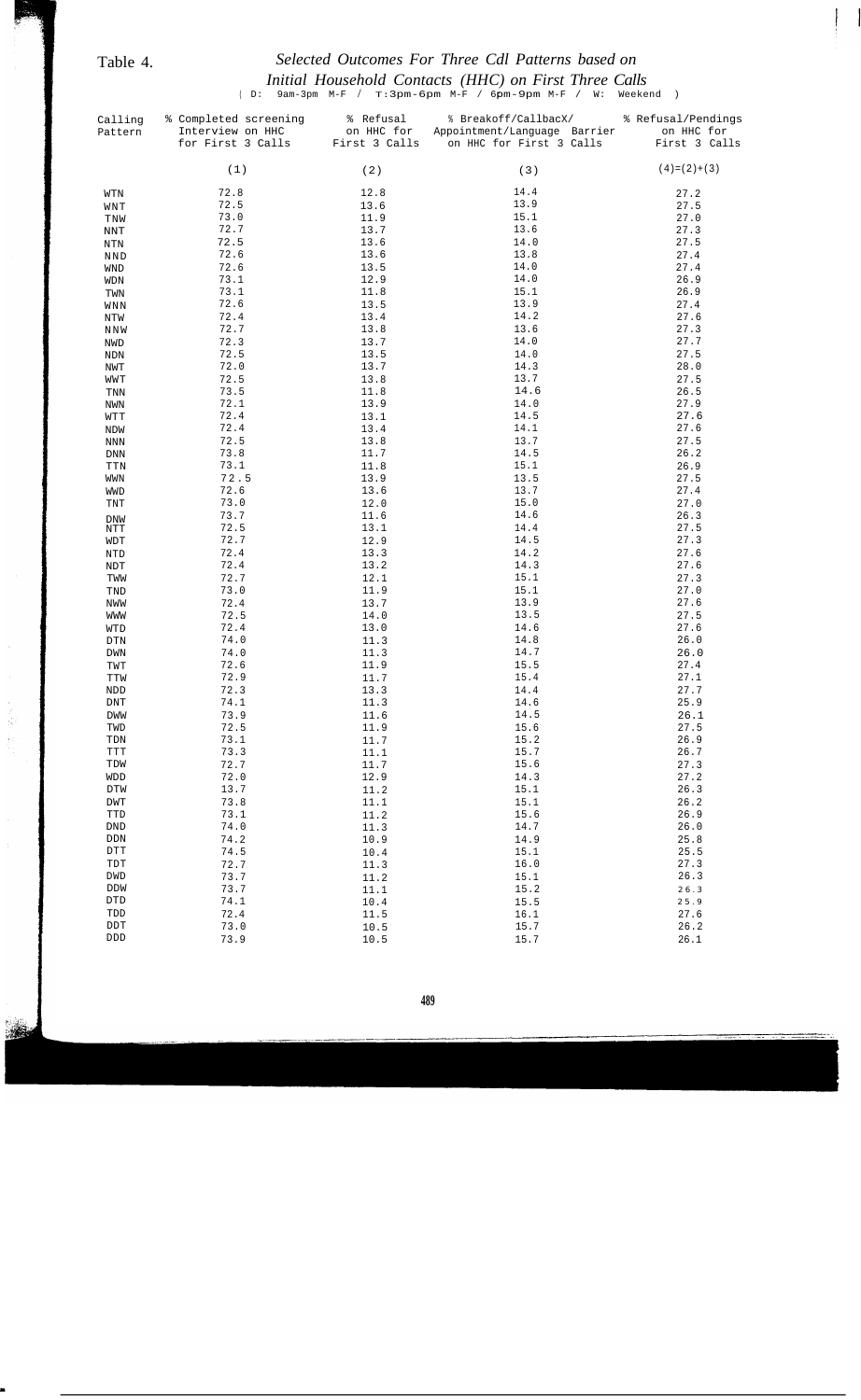# Table 4. *Selected Outcomes For Three Cdl Patterns based on Initial Household Contacts (HHC) on First Three Calls*

(D: 9am-3pm M-F / T:3pm-6pm M-F / 6pm-9pm M-F / W: Weekend )

| Calling<br>Pattern                          | % Completed screening<br>Interview on HHC<br>for First 3 Calls | % Refusal<br>on HHC for<br>First 3 Calls | % Breakoff/CallbacX/<br>Appointment/Language Barrier<br>on HHC for First 3 Calls | % Refusal/Pendings<br>on HHC for<br>First 3 Calls |
|---------------------------------------------|----------------------------------------------------------------|------------------------------------------|----------------------------------------------------------------------------------|---------------------------------------------------|
|                                             | (1)                                                            | (2)                                      | (3)                                                                              | $(4)=(2)+(3)$                                     |
| WTN                                         | 72.8                                                           | 12.8                                     | 14.4                                                                             | 27.2                                              |
| WNT                                         | 72.5                                                           | 13.6                                     | 13.9                                                                             | 27.5                                              |
| TNW                                         | 73.0                                                           | 11.9                                     | 15.1                                                                             | 27.0                                              |
| <b>NNT</b>                                  | 72.7                                                           | 13.7                                     | 13.6                                                                             | 27.3                                              |
| <b>NTN</b>                                  | 72.5                                                           | 13.6                                     | 14.0                                                                             | 27.5                                              |
| <b>NND</b>                                  | 72.6                                                           | 13.6                                     | 13.8                                                                             | 27.4                                              |
| WND                                         | 72.6                                                           | 13.5                                     | 14.0                                                                             | 27.4                                              |
| WDN                                         | 73.1                                                           | 12.9                                     | 14.0                                                                             | 26.9                                              |
| TWN                                         | 73.1                                                           | 11.8                                     | 15.1                                                                             | 26.9                                              |
| WNN                                         | 72.6                                                           | 13.5                                     | 13.9                                                                             | 27.4                                              |
| NTW                                         | 72.4                                                           | 13.4                                     | 14.2                                                                             | 27.6                                              |
| NNW                                         | 72.7                                                           | 13.8                                     | 13.6                                                                             | 27.3                                              |
| NWD                                         | 72.3                                                           | 13.7                                     | 14.0                                                                             | 27.7                                              |
| <b>NDN</b>                                  | 72.5                                                           | 13.5                                     | 14.0                                                                             | 27.5                                              |
| NWT                                         | 72.0                                                           | 13.7                                     | 14.3                                                                             | 28.0                                              |
| WWT                                         | 72.5                                                           | 13.8                                     | 13.7                                                                             | 27.5                                              |
| $\operatorname{TNN}$                        | 73.5                                                           | 11.8                                     | 14.6                                                                             | 26.5                                              |
| NWN                                         | 72.1                                                           | 13.9                                     | 14.0                                                                             | 27.9                                              |
| WTT                                         | 72.4                                                           | 13.1                                     | 14.5                                                                             | 27.6                                              |
| NDW                                         | 72.4                                                           | 13.4                                     | 14.1                                                                             | 27.6                                              |
| $\texttt{NNN}$                              | 72.5                                                           | 13.8                                     | 13.7                                                                             | 27.5                                              |
| ${\rm DNN}$                                 | 73.8                                                           | 11.7                                     | 14.5                                                                             | 26.2                                              |
| TTN                                         | 73.1                                                           | 11.8                                     | 15.1                                                                             | 26.9                                              |
| WWN                                         | 72.5                                                           | 13.9                                     | 13.5                                                                             | 27.5                                              |
| WWD                                         | 72.6                                                           | 13.6                                     | 13.7                                                                             | 27.4                                              |
| TNT                                         | 73.0                                                           | 12.0                                     | 15.0                                                                             | 27.0                                              |
| DNW                                         | 73.7                                                           | 11.6                                     | 14.6                                                                             | 26.3                                              |
| NTT                                         | 72.5                                                           | 13.1                                     | 14.4                                                                             | 27.5                                              |
| WDT                                         | 72.7                                                           | 12.9                                     | 14.5                                                                             | 27.3                                              |
| NTD                                         | 72.4                                                           | 13.3                                     | 14.2                                                                             | 27.6                                              |
| $\ensuremath{\text{NDT}}$                   | 72.4                                                           | 13.2                                     | 14.3                                                                             | 27.6                                              |
| TWW                                         | 72.7                                                           | 12.1                                     | 15.1                                                                             | 27.3                                              |
| TND                                         | 73.0                                                           | 11.9                                     | 15.1                                                                             | 27.0                                              |
| NWW                                         | 72.4                                                           | 13.7                                     | 13.9                                                                             | 27.6                                              |
| WWW                                         | 72.5                                                           | 14.0                                     | 13.5                                                                             | 27.5                                              |
| WTD                                         | 72.4                                                           | 13.0                                     | 14.6                                                                             | 27.6                                              |
| $\mathop{\rm DTN}\nolimits$                 | 74.0                                                           | 11.3                                     | 14.8                                                                             | 26.0                                              |
| <b>DWN</b>                                  | 74.0                                                           | 11.3                                     | 14.7                                                                             | 26.0                                              |
| TWT                                         | 72.6                                                           | 11.9                                     | 15.5                                                                             | 27.4                                              |
| TTW                                         | 72.9                                                           | 11.7                                     | 15.4                                                                             | 27.1                                              |
| NDD<br><b>DNT</b>                           | 72.3<br>74.1                                                   | 13.3<br>11.3                             | 14.4<br>14.6                                                                     | 27.7<br>25.9                                      |
| <b>DWW</b>                                  | 73.9                                                           | 11.6                                     | 14.5                                                                             | 26.1                                              |
| TWD                                         | 72.5                                                           | 11.9                                     | 15.6                                                                             | 27.5                                              |
| TDN                                         | 73.1                                                           | 11.7                                     | 15.2                                                                             | 26.9                                              |
| <b>TTT</b>                                  | 73.3                                                           | 11.1                                     | 15.7                                                                             | 26.7                                              |
| TDW                                         | 72.7                                                           | 11.7                                     | 15.6                                                                             | 27.3                                              |
| WDD                                         | 72.0                                                           | 12.9                                     | 14.3                                                                             | 27.2                                              |
| DTW                                         | 13.7                                                           | 11.2                                     | 15.1                                                                             | 26.3                                              |
| DWT                                         | 73.8                                                           | 11.1                                     | 15.1                                                                             | 26.2                                              |
| TTD                                         | 73.1                                                           | 11.2                                     | 15.6                                                                             | 26.9                                              |
| $\mathop{\rm DND}\nolimits$                 | 74.0                                                           | 11.3                                     | 14.7                                                                             | 26.0                                              |
| $\rm{DDN}$                                  | 74.2                                                           | 10.9                                     | 14.9                                                                             | 25.8                                              |
| $\mathtt{DTT}$                              | 74.5                                                           | 10.4                                     | 15.1                                                                             | 25.5                                              |
| $\ensuremath{\mathop{\mathrm{TDT}}}\xspace$ | 72.7                                                           | 11.3                                     | 16.0                                                                             | 27.3                                              |
| DWD                                         | 73.7                                                           | 11.2                                     | 15.1                                                                             | 26.3                                              |
| DDW                                         | 73.7                                                           | 11.1                                     | 15.2                                                                             | $2\;6$ . $3$                                      |
| $\operatorname{DTD}$                        | 74.1                                                           | 10.4                                     | 15.5                                                                             | $2\;5$ . $9$                                      |
| TDD                                         | 72.4                                                           | 11.5                                     | 16.1                                                                             | 27.6                                              |
| $\mathtt{DDT}$                              | 73.0                                                           | 10.5                                     | 15.7                                                                             | 26.2                                              |
| $\texttt{DDD}{}$                            | 73.9                                                           | 10.5                                     | 15.7                                                                             | 26.1                                              |